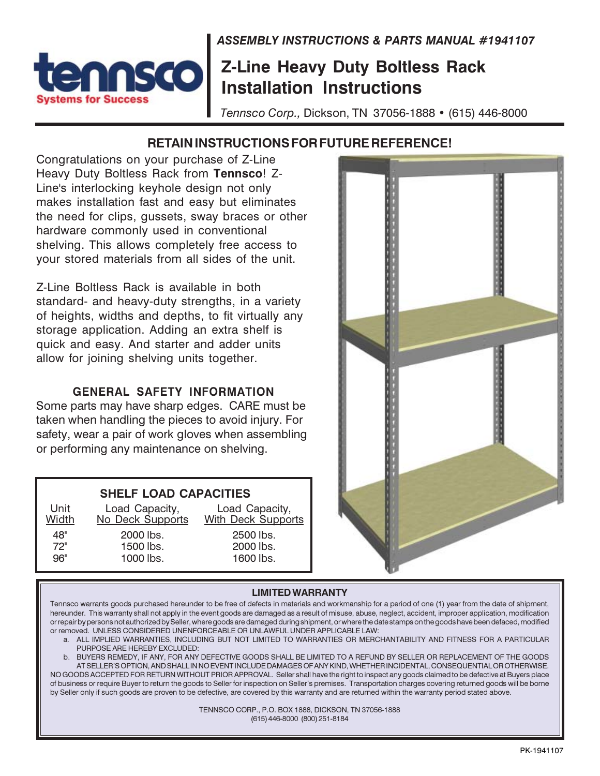**ASSEMBLY INSTRUCTIONS & PARTS MANUAL #1941107** 

## **Z-Line Heavy Duty Boltless Rack Installation Instructions**

Tennsco Corp., Dickson, TN 37056-1888 • (615) 446-8000

## RETAIN INSTRUCTIONS FOR FUTURE REFERENCE!

Congratulations on your purchase of Z-Line Heavy Duty Boltless Rack from Tennsco! Z-Line's interlocking keyhole design not only makes installation fast and easy but eliminates the need for clips, gussets, sway braces or other hardware commonly used in conventional shelving. This allows completely free access to your stored materials from all sides of the unit.

Sto

stems for Success

Z-Line Boltless Rack is available in both standard- and heavy-duty strengths, in a variety of heights, widths and depths, to fit virtually any storage application. Adding an extra shelf is quick and easy. And starter and adder units allow for joining shelving units together.

#### **GENERAL SAFETY INFORMATION**

Some parts may have sharp edges. CARE must be taken when handling the pieces to avoid injury. For safety, wear a pair of work gloves when assembling or performing any maintenance on shelving.

### **SHELF LOAD CAPACITIES**

| Unit<br>Width | Load Capacity,<br>No Deck Supports | Load Capacity,<br><b>With Deck Supports</b> |
|---------------|------------------------------------|---------------------------------------------|
| 48"           | 2000 lbs.                          | 2500 lbs.                                   |
| 72"           | 1500 lbs.                          | 2000 lbs.                                   |
| 96"           | 1000 lbs.                          | 1600 lbs.                                   |



#### **LIMITED WARRANTY**

Tennsco warrants goods purchased hereunder to be free of defects in materials and workmanship for a period of one (1) year from the date of shipment, hereunder. This warranty shall not apply in the event goods are damaged as a result of misuse, abuse, neglect, accident, improper application, modification or repair by persons not authorized by Seller, where goods are damaged during shipment, or where the date stamps on the goods have been defaced, modified or removed. UNLESS CONSIDERED UNENFORCEABLE OR UNLAWFUL UNDER APPLICABLE LAW:

a. ALL IMPLIED WARRANTIES, INCLUDING BUT NOT LIMITED TO WARRANTIES OR MERCHANTABILITY AND FITNESS FOR A PARTICULAR PURPOSE ARE HEREBY EXCLUDED:

b. BUYERS REMEDY, IF ANY, FOR ANY DEFECTIVE GOODS SHALL BE LIMITED TO A REFUND BY SELLER OR REPLACEMENT OF THE GOODS AT SELLER'S OPTION, AND SHALL IN NO EVENT INCLUDE DAMAGES OF ANY KIND, WHETHER INCIDENTAL, CONSEQUENTIAL OR OTHERWISE. NO GOODS ACCEPTED FOR RETURN WITHOUT PRIOR APPROVAL. Seller shall have the right to inspect any goods claimed to be defective at Buyers place of business or require Buyer to return the goods to Seller for inspection on Seller's premises. Transportation charges covering returned goods will be borne by Seller only if such goods are proven to be defective, are covered by this warranty and are returned within the warranty period stated above.

> TENNSCO CORP., P.O. BOX 1888, DICKSON, TN 37056-1888 (615) 446-8000 (800) 251-8184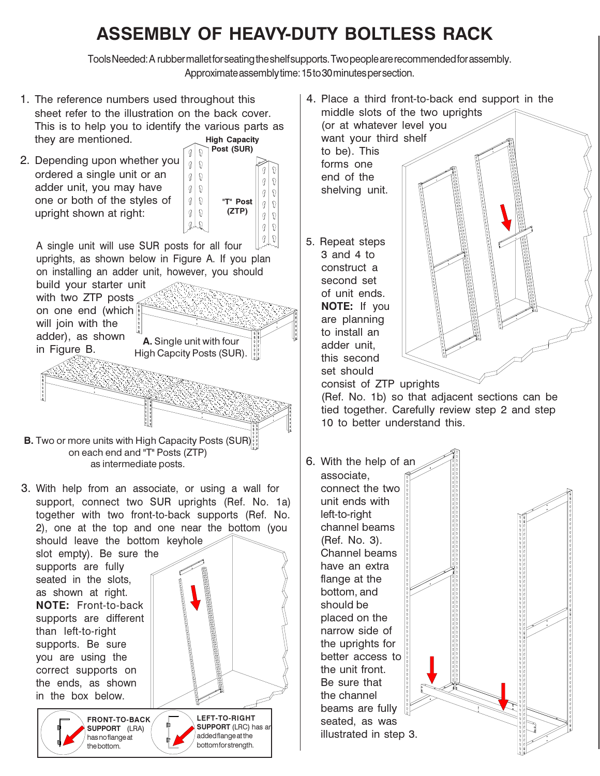# ASSEMBLY OF HEAVY-DUTY BOLTLESS RACK

Tools Needed: A rubber mallet for seating the shelf supports. Two people are recommended for assembly. Approximate assembly time: 15 to 30 minutes per section.

1. The reference numbers used throughout this sheet refer to the illustration on the back cover. This is to help you to identify the various parts as **High Capacity** they are mentioned.

 $\mathcal{G}$ 

 $\mathcal{G}$ 

 $\mathcal{C}$ 

I

 $\mathcal{Q}$ 

2. Depending upon whether you ordered a single unit or an adder unit, you may have one or both of the styles of upright shown at right:



A single unit will use SUR posts for all four uprights, as shown below in Figure A. If you plan on installing an adder unit, however, you should build your starter unit

with two ZTP posts on one end (which will join with the adder), as shown A. Single unit with four in Figure B. High Capcity Posts (SUR).

**B.** Two or more units with High Capacity Posts (SUR) on each end and "T" Posts (ZTP) as intermediate posts.

3. With help from an associate, or using a wall for support, connect two SUR uprights (Ref. No. 1a) together with two front-to-back supports (Ref. No. 2), one at the top and one near the bottom (you

should leave the bottom keyhole slot empty). Be sure the supports are fully seated in the slots. as shown at right. **NOTE: Front-to-back** supports are different than left-to-right supports. Be sure you are using the correct supports on the ends, as shown in the box below.

**FRONT-TO-BACK SUPPORT** (LRA) has no flange at the bottom.

LEFT-TO-RIGHT **SUPPORT** (LRC) has an added flange at the bottom for strength.

4. Place a third front-to-back end support in the middle slots of the two uprights (or at whatever level you want your third shelf to be). This

forms one end of the shelving unit.

5. Repeat steps  $3$  and  $4$  to construct a second set of unit ends. NOTE: If you are planning to install an adder unit. this second set should



consist of ZTP uprights (Ref. No. 1b) so that adjacent sections can be

tied together. Carefully review step 2 and step 10 to better understand this.

6. With the help of an associate. connect the two unit ends with left-to-right channel beams (Ref. No. 3). Channel beams have an extra flange at the bottom, and should be placed on the narrow side of the uprights for better access to the unit front. Be sure that the channel beams are fully seated, as was illustrated in step 3.

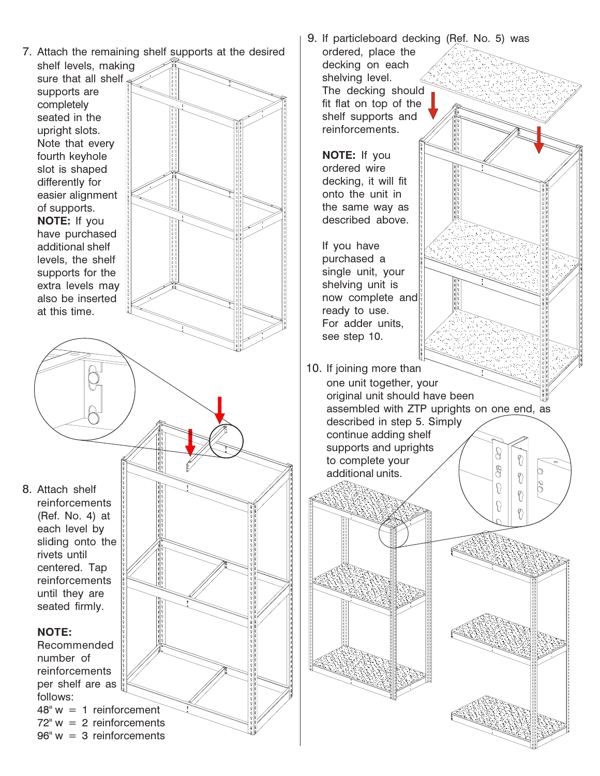